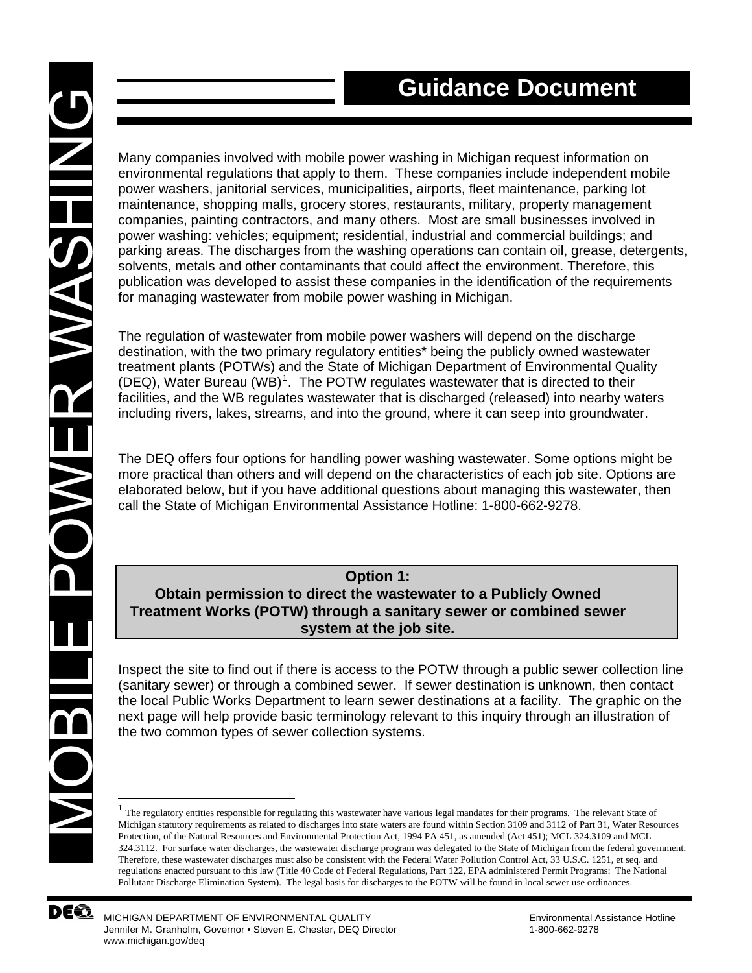Many companies involved with mobile power washing in Michigan request information on environmental regulations that apply to them. These companies include independent mobile power washers, janitorial services, municipalities, airports, fleet maintenance, parking lot maintenance, shopping malls, grocery stores, restaurants, military, property management companies, painting contractors, and many others. Most are small businesses involved in power washing: vehicles; equipment; residential, industrial and commercial buildings; and parking areas. The discharges from the washing operations can contain oil, grease, detergents, solvents, metals and other contaminants that could affect the environment. Therefore, this publication was developed to assist these companies in the identification of the requirements for managing wastewater from mobile power washing in Michigan.

The regulation of wastewater from mobile power washers will depend on the discharge destination, with the two primary regulatory entities\* being the publicly owned wastewater treatment plants (POTWs) and the State of Michigan Department of Environmental Quality (DEQ), Water Bureau  $(WB)^1$  $(WB)^1$ . The POTW regulates wastewater that is directed to their facilities, and the WB regulates wastewater that is discharged (released) into nearby waters including rivers, lakes, streams, and into the ground, where it can seep into groundwater.

The DEQ offers four options for handling power washing wastewater. Some options might be more practical than others and will depend on the characteristics of each job site. Options are elaborated below, but if you have additional questions about managing this wastewater, then call the State of Michigan Environmental Assistance Hotline: 1-800-662-9278.

**Option 1: Obtain permission to direct the wastewater to a Publicly Owned Treatment Works (POTW) through a sanitary sewer or combined sewer system at the job site.** 

Inspect the site to find out if there is access to the POTW through a public sewer collection line (sanitary sewer) or through a combined sewer. If sewer destination is unknown, then contact the local Public Works Department to learn sewer destinations at a facility. The graphic on the next page will help provide basic terminology relevant to this inquiry through an illustration of the two common types of sewer collection systems.

<sup>&</sup>lt;sup>1</sup> The regulatory entities responsible for regulating this wastewater have various legal mandates for their programs. The relevant State of Michigan statutory requirements as related to discharges into state waters are found within Section 3109 and 3112 of Part 31, Water Resources Protection, of the Natural Resources and Environmental Protection Act, 1994 PA 451, as amended (Act 451); MCL 324.3109 and MCL 324.3112. For surface water discharges, the wastewater discharge program was delegated to the State of Michigan from the federal government. Therefore, these wastewater discharges must also be consistent with the Federal Water Pollution Control Act, 33 U.S.C. 1251, et seq. and regulations enacted pursuant to this law (Title 40 Code of Federal Regulations, Part 122, EPA administered Permit Programs: The National Pollutant Discharge Elimination System). The legal basis for discharges to the POTW will be found in local sewer use ordinances.



<span id="page-0-0"></span>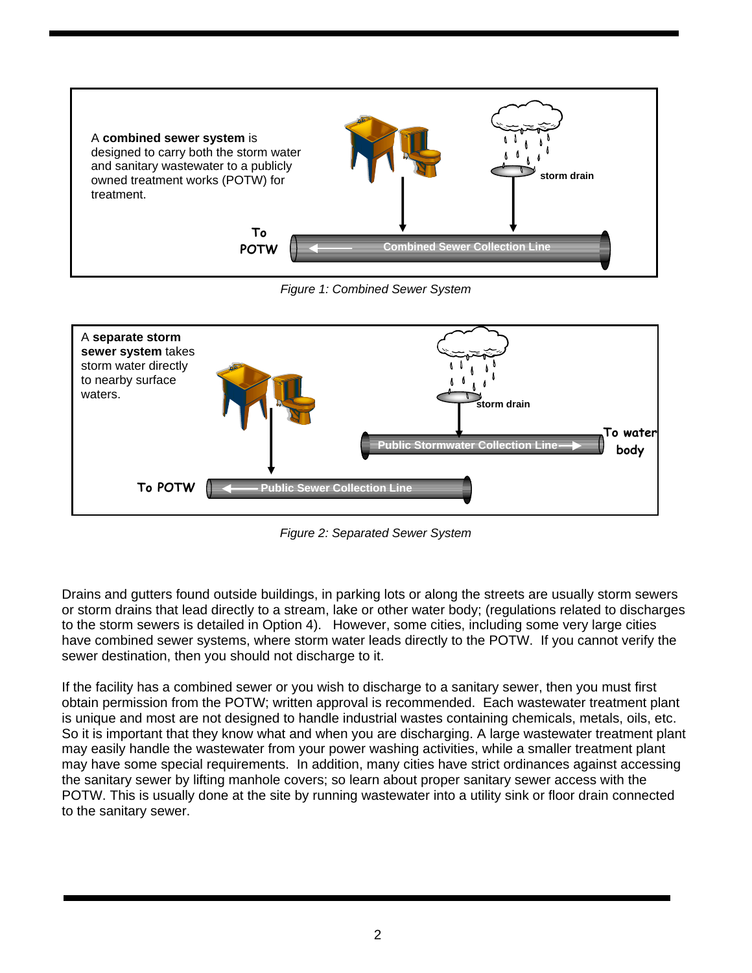

*Figure 1: Combined Sewer System* 



*Figure 2: Separated Sewer System* 

Drains and gutters found outside buildings, in parking lots or along the streets are usually storm sewers or storm drains that lead directly to a stream, lake or other water body; (regulations related to discharges to the storm sewers is detailed in Option 4). However, some cities, including some very large cities have combined sewer systems, where storm water leads directly to the POTW. If you cannot verify the sewer destination, then you should not discharge to it.

If the facility has a combined sewer or you wish to discharge to a sanitary sewer, then you must first obtain permission from the POTW; written approval is recommended. Each wastewater treatment plant is unique and most are not designed to handle industrial wastes containing chemicals, metals, oils, etc. So it is important that they know what and when you are discharging. A large wastewater treatment plant may easily handle the wastewater from your power washing activities, while a smaller treatment plant may have some special requirements. In addition, many cities have strict ordinances against accessing the sanitary sewer by lifting manhole covers; so learn about proper sanitary sewer access with the POTW. This is usually done at the site by running wastewater into a utility sink or floor drain connected to the sanitary sewer.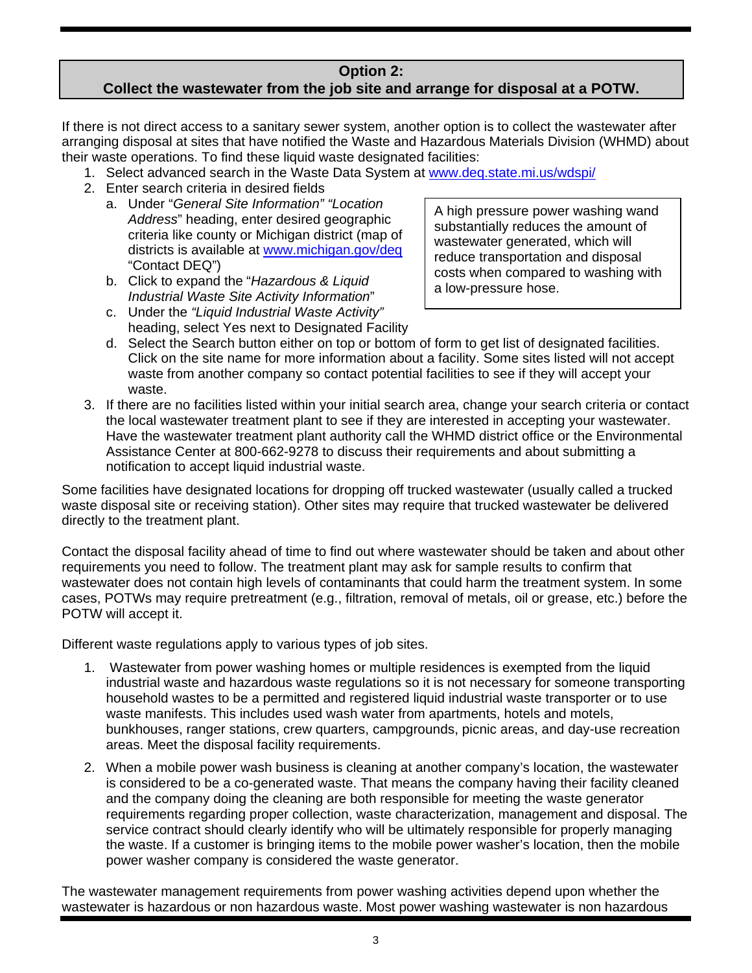#### **Option 2: Collect the wastewater from the job site and arrange for disposal at a POTW.**

If there is not direct access to a sanitary sewer system, another option is to collect the wastewater after arranging disposal at sites that have notified the Waste and Hazardous Materials Division (WHMD) about their waste operations. To find these liquid waste designated facilities:

- 1. Select advanced search in the Waste Data System at [www.deq.state.mi.us/wdspi/](http://www.deq.state.mi.us/wdspi/)
- 2. Enter search criteria in desired fields
	- a. Under "*General Site Information" "Location Address*" heading, enter desired geographic criteria like county or Michigan district (map of districts is available at [www.michigan.gov/deq](http://www.michigan.gov/deq) "Contact DEQ")
	- a low-pressure hose. b. Click to expand the "*Hazardous & Liquid Industrial Waste Site Activity Information*"
	- c. Under the *"Liquid Industrial Waste Activity"*  heading, select Yes next to Designated Facility

A high pressure power washing wand substantially reduces the amount of wastewater generated, which will reduce transportation and disposal costs when compared to washing with

- d. Select the Search button either on top or bottom of form to get list of designated facilities. Click on the site name for more information about a facility. Some sites listed will not accept waste from another company so contact potential facilities to see if they will accept your waste.
- 3. If there are no facilities listed within your initial search area, change your search criteria or contact the local wastewater treatment plant to see if they are interested in accepting your wastewater. Have the wastewater treatment plant authority call the WHMD district office or the Environmental Assistance Center at 800-662-9278 to discuss their requirements and about submitting a notification to accept liquid industrial waste.

Some facilities have designated locations for dropping off trucked wastewater (usually called a trucked waste disposal site or receiving station). Other sites may require that trucked wastewater be delivered directly to the treatment plant.

Contact the disposal facility ahead of time to find out where wastewater should be taken and about other requirements you need to follow. The treatment plant may ask for sample results to confirm that wastewater does not contain high levels of contaminants that could harm the treatment system. In some cases, POTWs may require pretreatment (e.g., filtration, removal of metals, oil or grease, etc.) before the POTW will accept it.

Different waste regulations apply to various types of job sites.

- 1. Wastewater from power washing homes or multiple residences is exempted from the liquid industrial waste and hazardous waste regulations so it is not necessary for someone transporting household wastes to be a permitted and registered liquid industrial waste transporter or to use waste manifests. This includes used wash water from apartments, hotels and motels, bunkhouses, ranger stations, crew quarters, campgrounds, picnic areas, and day-use recreation areas. Meet the disposal facility requirements.
- 2. When a mobile power wash business is cleaning at another company's location, the wastewater is considered to be a co-generated waste. That means the company having their facility cleaned and the company doing the cleaning are both responsible for meeting the waste generator requirements regarding proper collection, waste characterization, management and disposal. The service contract should clearly identify who will be ultimately responsible for properly managing the waste. If a customer is bringing items to the mobile power washer's location, then the mobile power washer company is considered the waste generator.

The wastewater management requirements from power washing activities depend upon whether the wastewater is hazardous or non hazardous waste. Most power washing wastewater is non hazardous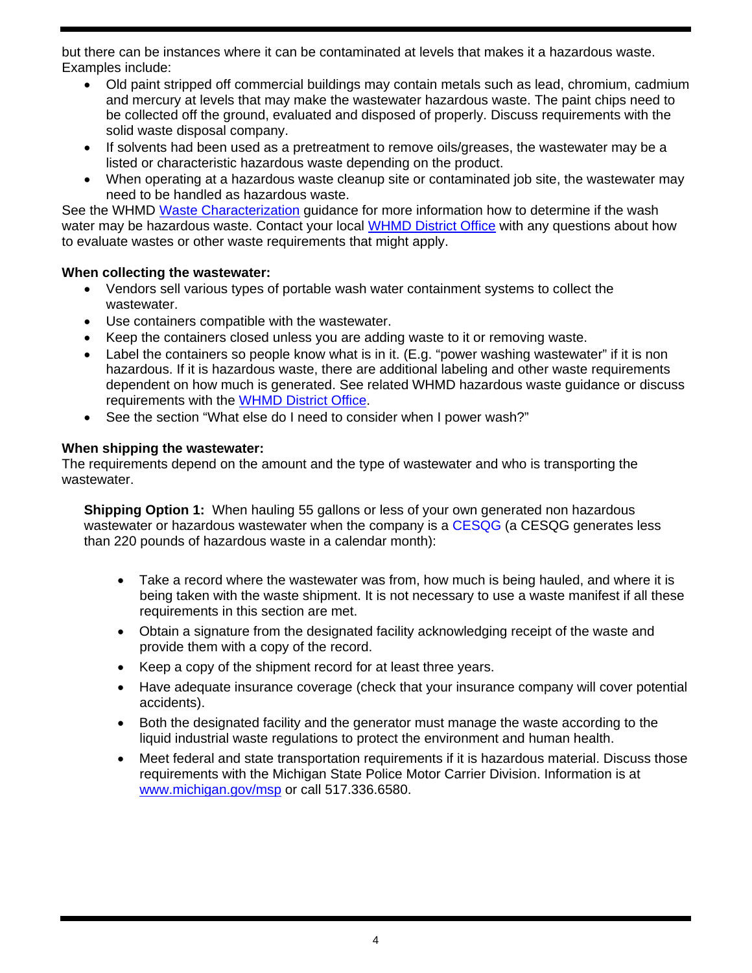but there can be instances where it can be contaminated at levels that makes it a hazardous waste. Examples include:

- Old paint stripped off commercial buildings may contain metals such as lead, chromium, cadmium and mercury at levels that may make the wastewater hazardous waste. The paint chips need to be collected off the ground, evaluated and disposed of properly. Discuss requirements with the solid waste disposal company.
- If solvents had been used as a pretreatment to remove oils/greases, the wastewater may be a listed or characteristic hazardous waste depending on the product.
- When operating at a hazardous waste cleanup site or contaminated job site, the wastewater may need to be handled as hazardous waste.

See the WHMD [Waste Characterization](http://www.deq.state.mi.us/documents/deq-ess-p2tas-wastecharacterization.pdf) quidance for more information how to determine if the wash water may be hazardous waste. Contact your local [WHMD District Office](http://www.michigan.gov/deq/0,1607,7-135-3306_3329-12306--,00.html) with any questions about how to evaluate wastes or other waste requirements that might apply.

#### **When collecting the wastewater:**

- Vendors sell various types of portable wash water containment systems to collect the wastewater.
- Use containers compatible with the wastewater.
- Keep the containers closed unless you are adding waste to it or removing waste.
- Label the containers so people know what is in it. (E.g. "power washing wastewater" if it is non hazardous. If it is hazardous waste, there are additional labeling and other waste requirements dependent on how much is generated. See related WHMD hazardous waste guidance or discuss requirements with the [WHMD District Office.](http://www.michigan.gov/deq/0,1607,7-135-3306_3329-12306--,00.html)
- See the section "What else do I need to consider when I power wash?"

#### **When shipping the wastewater:**

The requirements depend on the amount and the type of wastewater and who is transporting the wastewater.

**Shipping Option 1:** When hauling 55 gallons or less of your own generated non hazardous wastewater or hazardous wastewater when the company is a [CESQG](http://www.deq.state.mi.us/documents/deq-ead-tas-wmd-cesq0997.pdf) (a CESQG generates less than 220 pounds of hazardous waste in a calendar month):

- Take a record where the wastewater was from, how much is being hauled, and where it is being taken with the waste shipment. It is not necessary to use a waste manifest if all these requirements in this section are met.
- Obtain a signature from the designated facility acknowledging receipt of the waste and provide them with a copy of the record.
- Keep a copy of the shipment record for at least three years.
- Have adequate insurance coverage (check that your insurance company will cover potential accidents).
- Both the designated facility and the generator must manage the waste according to the liquid industrial waste regulations to protect the environment and human health.
- Meet federal and state transportation requirements if it is hazardous material. Discuss those requirements with the Michigan State Police Motor Carrier Division. Information is at [www.michigan.gov/msp](http://www.michigan.gov/msp) or call 517.336.6580.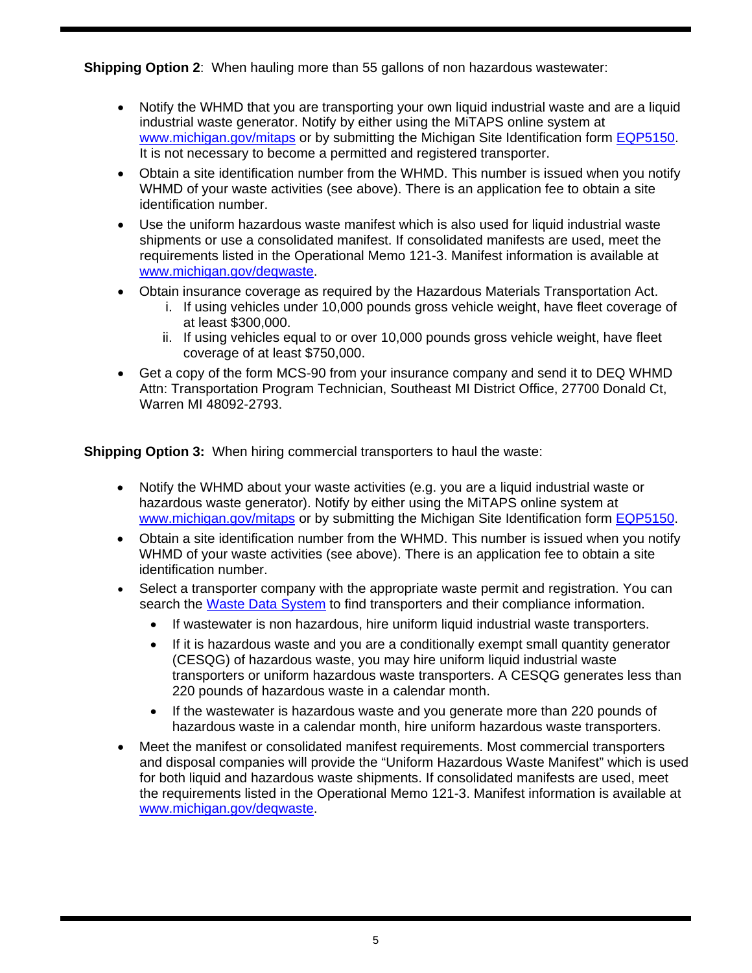**Shipping Option 2**: When hauling more than 55 gallons of non hazardous wastewater:

- Notify the WHMD that you are transporting your own liquid industrial waste and are a liquid industrial waste generator. Notify by either using the MiTAPS online system at [www.michigan.gov/mitaps](http://www.michigan.gov/mitaps) or by submitting the Michigan Site Identification form [EQP5150.](http://www.deq.state.mi.us/documents/deq-wmd-hwp-EQP5150-FRM.pdf) It is not necessary to become a permitted and registered transporter.
- Obtain a site identification number from the WHMD. This number is issued when you notify WHMD of your waste activities (see above). There is an application fee to obtain a site identification number.
- Use the uniform hazardous waste manifest which is also used for liquid industrial waste shipments or use a consolidated manifest. If consolidated manifests are used, meet the requirements listed in the Operational Memo 121-3. Manifest information is available at [www.michigan.gov/deqwaste.](http://www.michigan.gov/deqwaste)
- Obtain insurance coverage as required by the Hazardous Materials Transportation Act.
	- i. If using vehicles under 10,000 pounds gross vehicle weight, have fleet coverage of at least \$300,000.
	- ii. If using vehicles equal to or over 10,000 pounds gross vehicle weight, have fleet coverage of at least \$750,000.
- Get a copy of the form MCS-90 from your insurance company and send it to DEQ WHMD Attn: Transportation Program Technician, Southeast MI District Office, 27700 Donald Ct, Warren MI 48092-2793.

**Shipping Option 3:** When hiring commercial transporters to haul the waste:

- Notify the WHMD about your waste activities (e.g. you are a liquid industrial waste or hazardous waste generator). Notify by either using the MiTAPS online system at [www.michigan.gov/mitaps](http://www.michigan.gov/mitaps) or by submitting the Michigan Site Identification form [EQP5150](http://www.deq.state.mi.us/documents/deq-wmd-hwp-EQP5150-FRM.pdf).
- Obtain a site identification number from the WHMD. This number is issued when you notify WHMD of your waste activities (see above). There is an application fee to obtain a site identification number.
- Select a transporter company with the appropriate waste permit and registration. You can search the [Waste Data System](http://www.deq.state.mi.us/wdspi/) to find transporters and their compliance information.
	- If wastewater is non hazardous, hire uniform liquid industrial waste transporters.
	- If it is hazardous waste and you are a conditionally exempt small quantity generator (CESQG) of hazardous waste, you may hire uniform liquid industrial waste transporters or uniform hazardous waste transporters. A CESQG generates less than 220 pounds of hazardous waste in a calendar month.
	- If the wastewater is hazardous waste and you generate more than 220 pounds of hazardous waste in a calendar month, hire uniform hazardous waste transporters.
- Meet the manifest or consolidated manifest requirements. Most commercial transporters and disposal companies will provide the "Uniform Hazardous Waste Manifest" which is used for both liquid and hazardous waste shipments. If consolidated manifests are used, meet the requirements listed in the Operational Memo 121-3. Manifest information is available at [www.michigan.gov/deqwaste.](http://www.michigan.gov/deqwaste)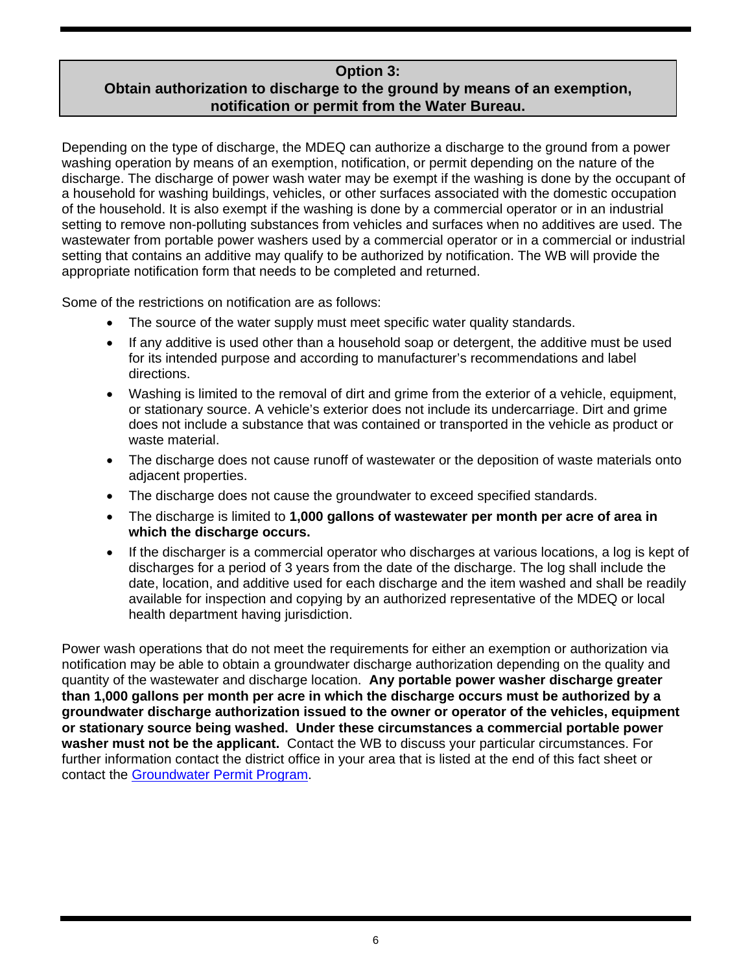## **Option 3:**

## **Obtain authorization to discharge to the ground by means of an exemption, notification or permit from the Water Bureau.**

Depending on the type of discharge, the MDEQ can authorize a discharge to the ground from a power washing operation by means of an exemption, notification, or permit depending on the nature of the discharge. The discharge of power wash water may be exempt if the washing is done by the occupant of a household for washing buildings, vehicles, or other surfaces associated with the domestic occupation of the household. It is also exempt if the washing is done by a commercial operator or in an industrial setting to remove non-polluting substances from vehicles and surfaces when no additives are used. The wastewater from portable power washers used by a commercial operator or in a commercial or industrial setting that contains an additive may qualify to be authorized by notification. The WB will provide the appropriate notification form that needs to be completed and returned.

Some of the restrictions on notification are as follows:

- The source of the water supply must meet specific water quality standards.
- If any additive is used other than a household soap or detergent, the additive must be used for its intended purpose and according to manufacturer's recommendations and label directions.
- Washing is limited to the removal of dirt and grime from the exterior of a vehicle, equipment, or stationary source. A vehicle's exterior does not include its undercarriage. Dirt and grime does not include a substance that was contained or transported in the vehicle as product or waste material.
- The discharge does not cause runoff of wastewater or the deposition of waste materials onto adjacent properties.
- The discharge does not cause the groundwater to exceed specified standards.
- The discharge is limited to **1,000 gallons of wastewater per month per acre of area in which the discharge occurs.**
- If the discharger is a commercial operator who discharges at various locations, a log is kept of discharges for a period of 3 years from the date of the discharge. The log shall include the date, location, and additive used for each discharge and the item washed and shall be readily available for inspection and copying by an authorized representative of the MDEQ or local health department having jurisdiction.

Power wash operations that do not meet the requirements for either an exemption or authorization via notification may be able to obtain a groundwater discharge authorization depending on the quality and quantity of the wastewater and discharge location. **Any portable power washer discharge greater than 1,000 gallons per month per acre in which the discharge occurs must be authorized by a groundwater discharge authorization issued to the owner or operator of the vehicles, equipment or stationary source being washed. Under these circumstances a commercial portable power washer must not be the applicant.** Contact the WB to discuss your particular circumstances. For further information contact the district office in your area that is listed at the end of this fact sheet or contact the [Groundwater Permit Program.](http://www.michigan.gov/deq/0,1607,7-135-3313_4117-104871--,00.html)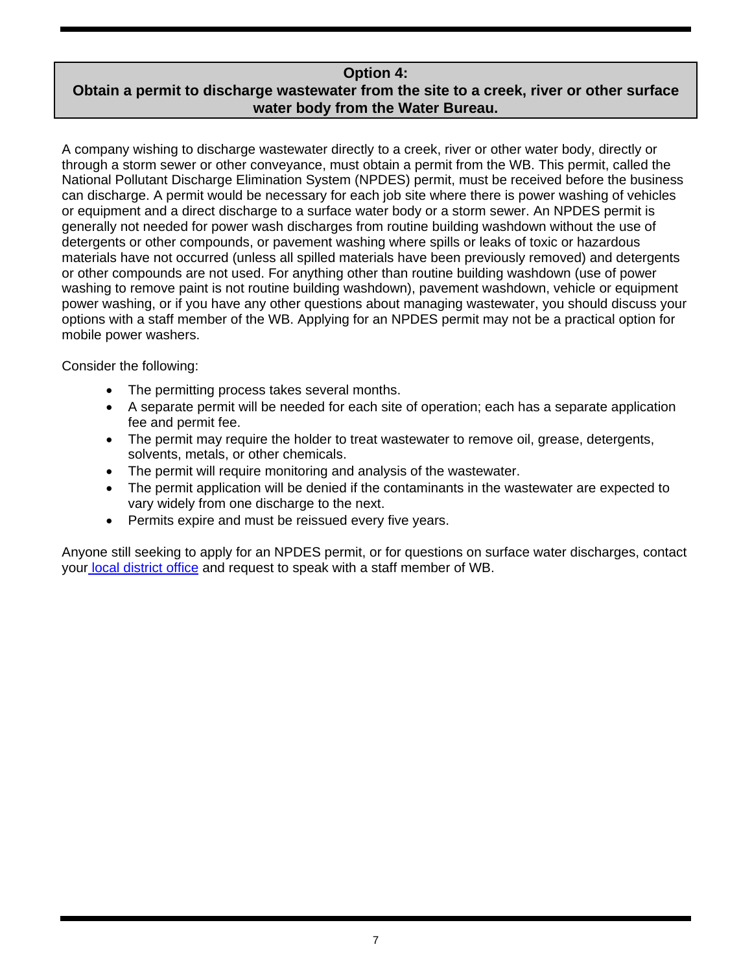### **Option 4:**

## **Obtain a permit to discharge wastewater from the site to a creek, river or other surface water body from the Water Bureau.**

A company wishing to discharge wastewater directly to a creek, river or other water body, directly or through a storm sewer or other conveyance, must obtain a permit from the WB. This permit, called the National Pollutant Discharge Elimination System (NPDES) permit, must be received before the business can discharge. A permit would be necessary for each job site where there is power washing of vehicles or equipment and a direct discharge to a surface water body or a storm sewer. An NPDES permit is generally not needed for power wash discharges from routine building washdown without the use of detergents or other compounds, or pavement washing where spills or leaks of toxic or hazardous materials have not occurred (unless all spilled materials have been previously removed) and detergents or other compounds are not used. For anything other than routine building washdown (use of power washing to remove paint is not routine building washdown), pavement washdown, vehicle or equipment power washing, or if you have any other questions about managing wastewater, you should discuss your options with a staff member of the WB. Applying for an NPDES permit may not be a practical option for mobile power washers.

Consider the following:

- The permitting process takes several months.
- A separate permit will be needed for each site of operation; each has a separate application fee and permit fee.
- The permit may require the holder to treat wastewater to remove oil, grease, detergents, solvents, metals, or other chemicals.
- The permit will require monitoring and analysis of the wastewater.
- The permit application will be denied if the contaminants in the wastewater are expected to vary widely from one discharge to the next.
- Permits expire and must be reissued every five years.

Anyone still seeking to apply for an NPDES permit, or for questions on surface water discharges, contact your [local district office](http://www.michigan.gov/deq/0,1607,7-135-3306_3329-12306--,00.html) and request to speak with a staff member of WB.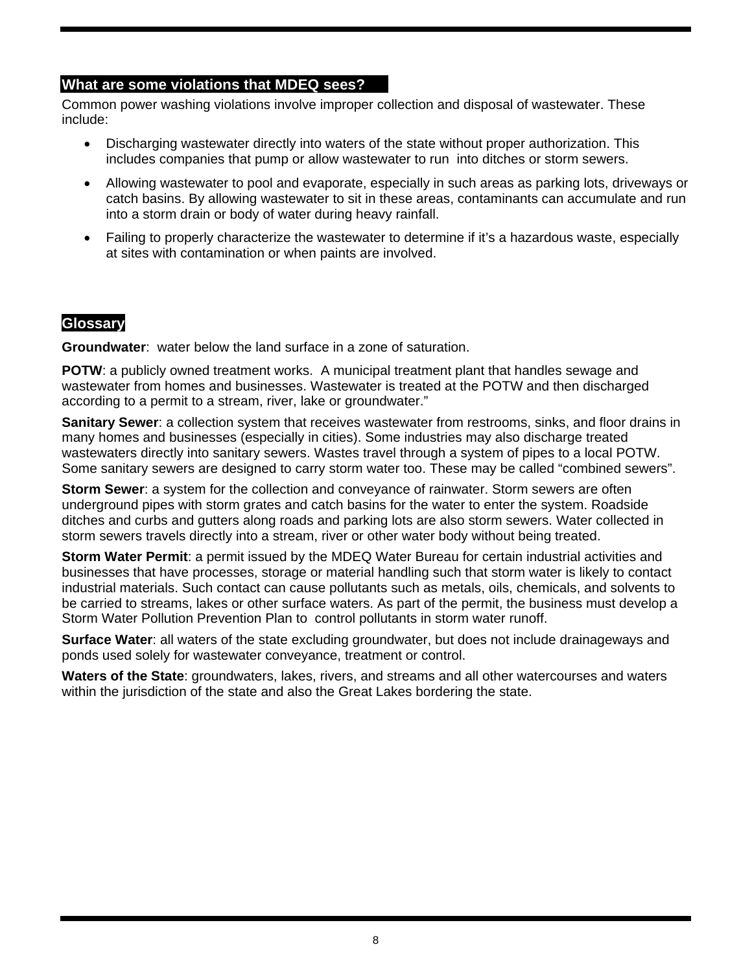### **What are some violations that MDEQ sees?**

Common power washing violations involve improper collection and disposal of wastewater. These include:

- Discharging wastewater directly into waters of the state without proper authorization. This includes companies that pump or allow wastewater to run into ditches or storm sewers.
- Allowing wastewater to pool and evaporate, especially in such areas as parking lots, driveways or catch basins. By allowing wastewater to sit in these areas, contaminants can accumulate and run into a storm drain or body of water during heavy rainfall.
- Failing to properly characterize the wastewater to determine if it's a hazardous waste, especially at sites with contamination or when paints are involved.

### **Glossary**

**Groundwater**: water below the land surface in a zone of saturation.

**POTW**: a publicly owned treatment works. A municipal treatment plant that handles sewage and wastewater from homes and businesses. Wastewater is treated at the POTW and then discharged according to a permit to a stream, river, lake or groundwater."

**Sanitary Sewer**: a collection system that receives wastewater from restrooms, sinks, and floor drains in many homes and businesses (especially in cities). Some industries may also discharge treated wastewaters directly into sanitary sewers. Wastes travel through a system of pipes to a local POTW. Some sanitary sewers are designed to carry storm water too. These may be called "combined sewers".

**Storm Sewer**: a system for the collection and conveyance of rainwater. Storm sewers are often underground pipes with storm grates and catch basins for the water to enter the system. Roadside ditches and curbs and gutters along roads and parking lots are also storm sewers. Water collected in storm sewers travels directly into a stream, river or other water body without being treated.

**Storm Water Permit**: a permit issued by the MDEQ Water Bureau for certain industrial activities and businesses that have processes, storage or material handling such that storm water is likely to contact industrial materials. Such contact can cause pollutants such as metals, oils, chemicals, and solvents to be carried to streams, lakes or other surface waters. As part of the permit, the business must develop a Storm Water Pollution Prevention Plan to control pollutants in storm water runoff.

**Surface Water**: all waters of the state excluding groundwater, but does not include drainageways and ponds used solely for wastewater conveyance, treatment or control.

**Waters of the State**: groundwaters, lakes, rivers, and streams and all other watercourses and waters within the jurisdiction of the state and also the Great Lakes bordering the state.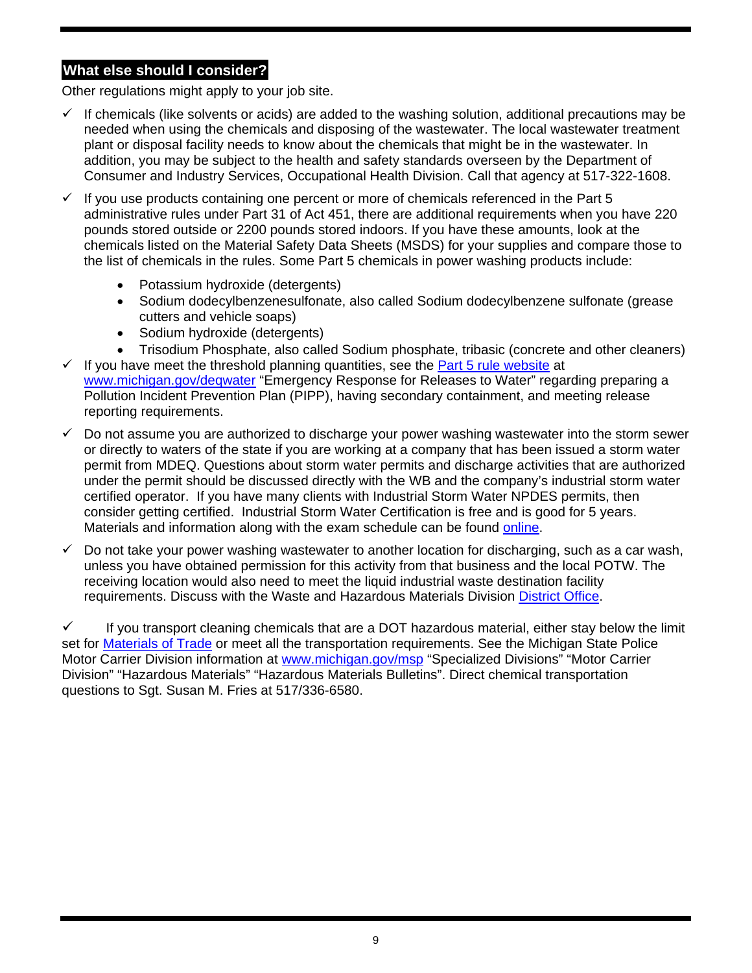# **What else should I consider?**

Other regulations might apply to your job site.

- $\checkmark$  If chemicals (like solvents or acids) are added to the washing solution, additional precautions may be needed when using the chemicals and disposing of the wastewater. The local wastewater treatment plant or disposal facility needs to know about the chemicals that might be in the wastewater. In addition, you may be subject to the health and safety standards overseen by the Department of Consumer and Industry Services, Occupational Health Division. Call that agency at 517-322-1608.
- $\checkmark$  If you use products containing one percent or more of chemicals referenced in the Part 5 administrative rules under Part 31 of Act 451, there are additional requirements when you have 220 pounds stored outside or 2200 pounds stored indoors. If you have these amounts, look at the chemicals listed on the Material Safety Data Sheets (MSDS) for your supplies and compare those to the list of chemicals in the rules. Some Part 5 chemicals in power washing products include:
	- Potassium hydroxide (detergents)
	- Sodium dodecylbenzenesulfonate, also called Sodium dodecylbenzene sulfonate (grease cutters and vehicle soaps)
	- Sodium hydroxide (detergents)
	- Trisodium Phosphate, also called Sodium phosphate, tribasic (concrete and other cleaners)
- $\checkmark$  If you have meet the threshold planning quantities, see the **Part 5 rule website** at [www.michigan.gov/deqwater](http://www.michigan.gov/deqwater) "Emergency Response for Releases to Water" regarding preparing a Pollution Incident Prevention Plan (PIPP), having secondary containment, and meeting release reporting requirements.
- $\checkmark$  Do not assume you are authorized to discharge your power washing wastewater into the storm sewer or directly to waters of the state if you are working at a company that has been issued a storm water permit from MDEQ. Questions about storm water permits and discharge activities that are authorized under the permit should be discussed directly with the WB and the company's industrial storm water certified operator. If you have many clients with Industrial Storm Water NPDES permits, then consider getting certified. Industrial Storm Water Certification is free and is good for 5 years. Materials and information along with the exam schedule can be found [online](http://www.michigan.gov/deq/0,1607,7-135-3313_3682_3716---,00.html).
- $\checkmark$  Do not take your power washing wastewater to another location for discharging, such as a car wash, unless you have obtained permission for this activity from that business and the local POTW. The receiving location would also need to meet the liquid industrial waste destination facility requirements. Discuss with the Waste and Hazardous Materials Division [District Office](http://www.michigan.gov/deq/0,1607,7-135-3306_3329-12306--,00.html).

 $\checkmark$  If you transport cleaning chemicals that are a DOT hazardous material, either stay below the limit set for [Materials of Trade](http://www.michigan.gov/msp/0,1607,7-123-1593_3536_6249-97938--,00.html) or meet all the transportation requirements. See the Michigan State Police Motor Carrier Division information at [www.michigan.gov/msp](http://www.michigan.gov/msp) "Specialized Divisions" "Motor Carrier Division" "Hazardous Materials" "Hazardous Materials Bulletins". Direct chemical transportation questions to Sgt. Susan M. Fries at 517/336-6580.